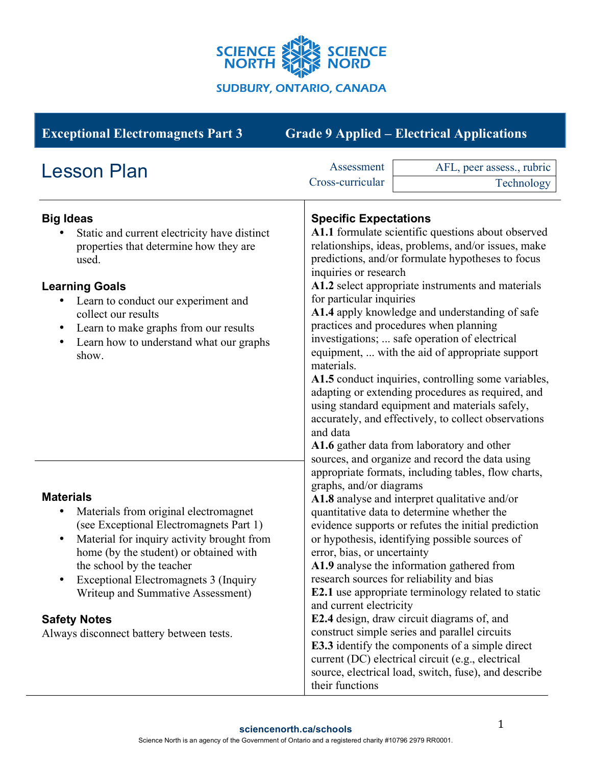

| <b>Exceptional Electromagnets Part 3</b>                                                                                                                                                                                                                                                                                                                                                                         | <b>Grade 9 Applied – Electrical Applications</b>                                                                                                                                                                                                                                                                                                                                                                                                                                                                                                                                                                                                                                                                                                                                                                                              |  |
|------------------------------------------------------------------------------------------------------------------------------------------------------------------------------------------------------------------------------------------------------------------------------------------------------------------------------------------------------------------------------------------------------------------|-----------------------------------------------------------------------------------------------------------------------------------------------------------------------------------------------------------------------------------------------------------------------------------------------------------------------------------------------------------------------------------------------------------------------------------------------------------------------------------------------------------------------------------------------------------------------------------------------------------------------------------------------------------------------------------------------------------------------------------------------------------------------------------------------------------------------------------------------|--|
| <b>Lesson Plan</b>                                                                                                                                                                                                                                                                                                                                                                                               | Assessment<br>AFL, peer assess., rubric<br>Cross-curricular<br>Technology                                                                                                                                                                                                                                                                                                                                                                                                                                                                                                                                                                                                                                                                                                                                                                     |  |
| <b>Big Ideas</b><br>Static and current electricity have distinct<br>properties that determine how they are<br>used.<br><b>Learning Goals</b><br>Learn to conduct our experiment and<br>collect our results<br>Learn to make graphs from our results<br>$\bullet$<br>Learn how to understand what our graphs<br>$\bullet$<br>show.                                                                                | <b>Specific Expectations</b><br>A1.1 formulate scientific questions about observed<br>relationships, ideas, problems, and/or issues, make<br>predictions, and/or formulate hypotheses to focus<br>inquiries or research<br>A1.2 select appropriate instruments and materials<br>for particular inquiries<br>A1.4 apply knowledge and understanding of safe<br>practices and procedures when planning<br>investigations;  safe operation of electrical<br>equipment,  with the aid of appropriate support<br>materials.<br>A1.5 conduct inquiries, controlling some variables,<br>adapting or extending procedures as required, and<br>using standard equipment and materials safely,<br>accurately, and effectively, to collect observations<br>and data<br>A1.6 gather data from laboratory and other                                        |  |
| <b>Materials</b><br>Materials from original electromagnet<br>٠<br>(see Exceptional Electromagnets Part 1)<br>Material for inquiry activity brought from<br>$\bullet$<br>home (by the student) or obtained with<br>the school by the teacher<br><b>Exceptional Electromagnets 3 (Inquiry</b><br>$\bullet$<br>Writeup and Summative Assessment)<br><b>Safety Notes</b><br>Always disconnect battery between tests. | sources, and organize and record the data using<br>appropriate formats, including tables, flow charts,<br>graphs, and/or diagrams<br>A1.8 analyse and interpret qualitative and/or<br>quantitative data to determine whether the<br>evidence supports or refutes the initial prediction<br>or hypothesis, identifying possible sources of<br>error, bias, or uncertainty<br>A1.9 analyse the information gathered from<br>research sources for reliability and bias<br><b>E2.1</b> use appropriate terminology related to static<br>and current electricity<br>E2.4 design, draw circuit diagrams of, and<br>construct simple series and parallel circuits<br>E3.3 identify the components of a simple direct<br>current (DC) electrical circuit (e.g., electrical<br>source, electrical load, switch, fuse), and describe<br>their functions |  |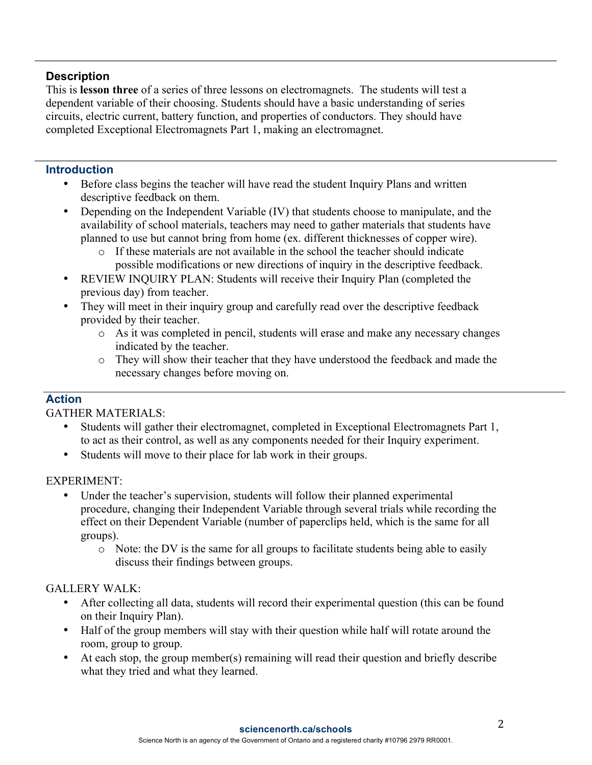# **Description**

This is **lesson three** of a series of three lessons on electromagnets. The students will test a dependent variable of their choosing. Students should have a basic understanding of series circuits, electric current, battery function, and properties of conductors. They should have completed Exceptional Electromagnets Part 1, making an electromagnet.

#### **Introduction**

- Before class begins the teacher will have read the student Inquiry Plans and written descriptive feedback on them.
- Depending on the Independent Variable (IV) that students choose to manipulate, and the availability of school materials, teachers may need to gather materials that students have planned to use but cannot bring from home (ex. different thicknesses of copper wire).
	- o If these materials are not available in the school the teacher should indicate possible modifications or new directions of inquiry in the descriptive feedback.
- REVIEW INQUIRY PLAN: Students will receive their Inquiry Plan (completed the previous day) from teacher.
- They will meet in their inquiry group and carefully read over the descriptive feedback provided by their teacher.
	- o As it was completed in pencil, students will erase and make any necessary changes indicated by the teacher.
	- o They will show their teacher that they have understood the feedback and made the necessary changes before moving on.

## **Action**

GATHER MATERIALS:

- Students will gather their electromagnet, completed in Exceptional Electromagnets Part 1, to act as their control, as well as any components needed for their Inquiry experiment.
- Students will move to their place for lab work in their groups.

EXPERIMENT:

- Under the teacher's supervision, students will follow their planned experimental procedure, changing their Independent Variable through several trials while recording the effect on their Dependent Variable (number of paperclips held, which is the same for all groups).
	- o Note: the DV is the same for all groups to facilitate students being able to easily discuss their findings between groups.

## GALLERY WALK:

- After collecting all data, students will record their experimental question (this can be found on their Inquiry Plan).
- Half of the group members will stay with their question while half will rotate around the room, group to group.
- At each stop, the group member(s) remaining will read their question and briefly describe what they tried and what they learned.